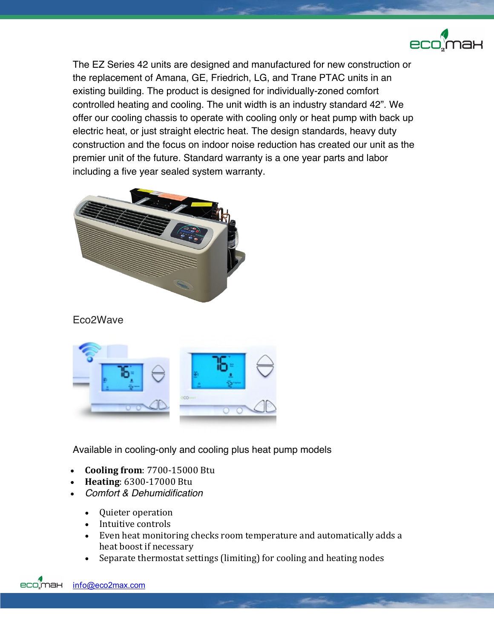

The EZ Series 42 units are designed and manufactured for new construction or the replacement of Amana, GE, Friedrich, LG, and Trane PTAC units in an existing building. The product is designed for individually-zoned comfort controlled heating and cooling. The unit width is an industry standard 42". We offer our cooling chassis to operate with cooling only or heat pump with back up electric heat, or just straight electric heat. The design standards, heavy duty construction and the focus on indoor noise reduction has created our unit as the premier unit of the future. Standard warranty is a one year parts and labor including a five year sealed system warranty.



Eco2Wave



Available in cooling-only and cooling plus heat pump models

- **Cooling from**: 7700-15000 Btu
- **Heating**: 6300-17000 Btu
- *Comfort & Dehumidification*
	- Quieter operation
	- Intuitive controls
	- Even heat monitoring checks room temperature and automatically adds a heat boost if necessary
	- Separate thermostat settings (limiting) for cooling and heating nodes

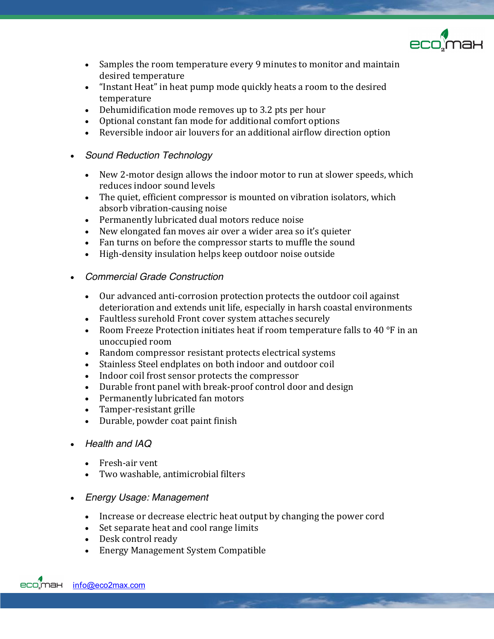

- Samples the room temperature every 9 minutes to monitor and maintain desired temperature
- "Instant Heat" in heat pump mode quickly heats a room to the desired temperature
- Dehumidification mode removes up to 3.2 pts per hour
- Optional constant fan mode for additional comfort options
- Reversible indoor air louvers for an additional airflow direction option
- *Sound Reduction Technology*
	- New 2-motor design allows the indoor motor to run at slower speeds, which reduces indoor sound levels
	- The quiet, efficient compressor is mounted on vibration isolators, which absorb vibration-causing noise
	- Permanently lubricated dual motors reduce noise
	- New elongated fan moves air over a wider area so it's quieter
	- Fan turns on before the compressor starts to muffle the sound
	- High-density insulation helps keep outdoor noise outside
- *Commercial Grade Construction*
	- Our advanced anti-corrosion protection protects the outdoor coil against deterioration and extends unit life, especially in harsh coastal environments
	- Faultless surehold Front cover system attaches securely
	- Room Freeze Protection initiates heat if room temperature falls to 40  $\degree$ F in an unoccupied room
	- Random compressor resistant protects electrical systems
	- Stainless Steel endplates on both indoor and outdoor coil
	- Indoor coil frost sensor protects the compressor
	- Durable front panel with break-proof control door and design
	- Permanently lubricated fan motors
	- Tamper-resistant grille
	- Durable, powder coat paint finish
- *Health and IAQ*
	- Fresh-air vent
	- Two washable, antimicrobial filters
- *Energy Usage: Management*
	- Increase or decrease electric heat output by changing the power cord
	- Set separate heat and cool range limits
	- Desk control ready
	- Energy Management System Compatible